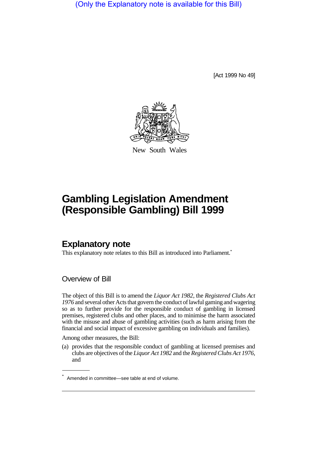(Only the Explanatory note is available for this Bill)

[Act 1999 No 49]



New South Wales

# **Gambling Legislation Amendment (Responsible Gambling) Bill 1999**

## **Explanatory note**

This explanatory note relates to this Bill as introduced into Parliament.<sup>\*</sup>

Overview of Bill

The object of this Bill is to amend the *Liquor Act 1982*, the *Registered Clubs Act 1976* and several other Acts that govern the conduct of lawful gaming and wagering so as to further provide for the responsible conduct of gambling in licensed premises, registered clubs and other places, and to minimise the harm associated with the misuse and abuse of gambling activities (such as harm arising from the financial and social impact of excessive gambling on individuals and families).

Among other measures, the Bill:

(a) provides that the responsible conduct of gambling at licensed premises and clubs are objectives of the *Liquor Act 1982* and the *Registered Clubs Act 1976,* and

<sup>\*</sup> Amended in committee—see table at end of volume.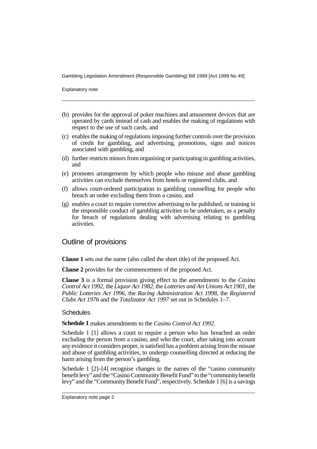Explanatory note

- (b) provides for the approval of poker machines and amusement devices that are operated by cards instead of cash and enables the making of regulations with respect to the use of such cards, and
- (c) enables the making of regulations imposing further controls over the provision of credit for gambling, and advertising, promotions, signs and notices associated with gambling, and
- (d) further restricts minors from organising or participating in gambling activities, and
- (e) promotes arrangements by which people who misuse and abuse gambling activities can exclude themselves from hotels or registered clubs, and
- (f) allows court-ordered participation in gambling counselling for people who breach an order excluding them from a casino, and
- (g) enables a court to require corrective advertising to be published, or training in the responsible conduct of gambling activities to be undertaken, as a penalty for breach of regulations dealing with advertising relating to gambling activities.

### Outline of provisions

**Clause 1** sets out the name (also called the short title) of the proposed Act.

**Clause 2** provides for the commencement of the proposed Act.

**Clause 3** is a formal provision giving effect to the amendments to the *Casino Control Act 1992*, the *Liquor Act 1982*, the *Lotteries and Art Unions Act 1901*, the *Public Lotteries Act 1996*, the *Racing Administration Act 1998*, the *Registered Clubs Act 1976* and the *Totalizator Act 1997* set out in Schedules 1–7.

#### **Schedules**

**Schedule 1** makes amendments to the *Casino Control Act 1992*.

Schedule 1 [1] allows a court to require a person who has breached an order excluding the person from a casino, and who the court, after taking into account any evidence it considers proper, is satisfied has a problem arising from the misuse and abuse of gambling activities, to undergo counselling directed at reducing the harm arising from the person's gambling.

Schedule 1 [2]–[4] recognise changes in the names of the "casino community benefit levy" and the "Casino Community Benefit Fund" to the "community benefit levy" and the "Community Benefit Fund", respectively. Schedule 1 [6] is a savings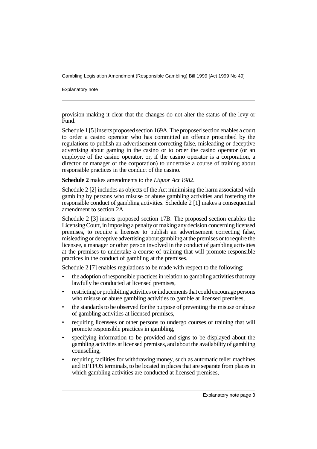Explanatory note

provision making it clear that the changes do not alter the status of the levy or Fund.

Schedule 1 [5] inserts proposed section 169A. The proposed section enables a court to order a casino operator who has committed an offence prescribed by the regulations to publish an advertisement correcting false, misleading or deceptive advertising about gaming in the casino or to order the casino operator (or an employee of the casino operator, or, if the casino operator is a corporation, a director or manager of the corporation) to undertake a course of training about responsible practices in the conduct of the casino.

**Schedule 2** makes amendments to the *Liquor Act 1982*.

Schedule 2 [2] includes as objects of the Act minimising the harm associated with gambling by persons who misuse or abuse gambling activities and fostering the responsible conduct of gambling activities. Schedule 2 [1] makes a consequential amendment to section 2A.

Schedule 2 [3] inserts proposed section 17B. The proposed section enables the Licensing Court, in imposing a penalty or making any decision concerning licensed premises, to require a licensee to publish an advertisement correcting false, misleading or deceptive advertising about gambling at the premises or to require the licensee, a manager or other person involved in the conduct of gambling activities at the premises to undertake a course of training that will promote responsible practices in the conduct of gambling at the premises.

Schedule 2 [7] enables regulations to be made with respect to the following:

- the adoption of responsible practices in relation to gambling activities that may lawfully be conducted at licensed premises,
- restricting or prohibiting activities or inducements that could encourage persons who misuse or abuse gambling activities to gamble at licensed premises,
- the standards to be observed for the purpose of preventing the misuse or abuse of gambling activities at licensed premises,
- requiring licensees or other persons to undergo courses of training that will promote responsible practices in gambling,
- specifying information to be provided and signs to be displayed about the gambling activities at licensed premises, and about the availability of gambling counselling,
- requiring facilities for withdrawing money, such as automatic teller machines and EFTPOS terminals, to be located in places that are separate from places in which gambling activities are conducted at licensed premises,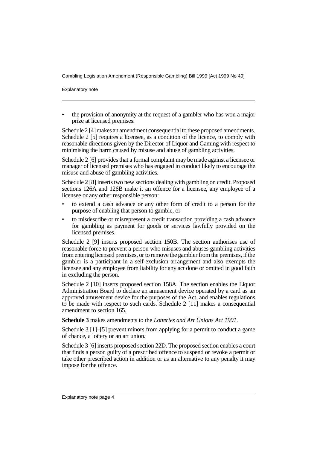Explanatory note

• the provision of anonymity at the request of a gambler who has won a major prize at licensed premises.

Schedule 2 [4] makes an amendment consequential to these proposed amendments. Schedule 2 [5] requires a licensee, as a condition of the licence, to comply with reasonable directions given by the Director of Liquor and Gaming with respect to minimising the harm caused by misuse and abuse of gambling activities.

Schedule 2 [6] provides that a formal complaint may be made against a licensee or manager of licensed premises who has engaged in conduct likely to encourage the misuse and abuse of gambling activities.

Schedule 2 [8] inserts two new sections dealing with gambling on credit. Proposed sections 126A and 126B make it an offence for a licensee, any employee of a licensee or any other responsible person:

- to extend a cash advance or any other form of credit to a person for the purpose of enabling that person to gamble, or
- to misdescribe or misrepresent a credit transaction providing a cash advance for gambling as payment for goods or services lawfully provided on the licensed premises.

Schedule 2 [9] inserts proposed section 150B. The section authorises use of reasonable force to prevent a person who misuses and abuses gambling activities from entering licensed premises, or to remove the gambler from the premises, if the gambler is a participant in a self-exclusion arrangement and also exempts the licensee and any employee from liability for any act done or omitted in good faith in excluding the person.

Schedule 2 [10] inserts proposed section 158A. The section enables the Liquor Administration Board to declare an amusement device operated by a card as an approved amusement device for the purposes of the Act, and enables regulations to be made with respect to such cards. Schedule 2 [11] makes a consequential amendment to section 165.

**Schedule 3** makes amendments to the *Lotteries and Art Unions Act 1901*.

Schedule 3 [1]–[5] prevent minors from applying for a permit to conduct a game of chance, a lottery or an art union.

Schedule 3 [6] inserts proposed section 22D. The proposed section enables a court that finds a person guilty of a prescribed offence to suspend or revoke a permit or take other prescribed action in addition or as an alternative to any penalty it may impose for the offence.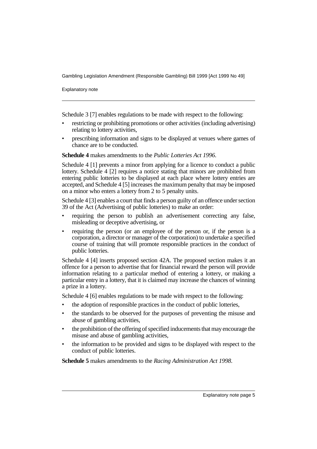Explanatory note

Schedule 3 [7] enables regulations to be made with respect to the following:

- restricting or prohibiting promotions or other activities (including advertising) relating to lottery activities,
- prescribing information and signs to be displayed at venues where games of chance are to be conducted.

**Schedule 4** makes amendments to the *Public Lotteries Act 1996*.

Schedule 4 [1] prevents a minor from applying for a licence to conduct a public lottery. Schedule 4 [2] requires a notice stating that minors are prohibited from entering public lotteries to be displayed at each place where lottery entries are accepted, and Schedule 4 [5] increases the maximum penalty that may be imposed on a minor who enters a lottery from 2 to 5 penalty units.

Schedule 4 [3] enables a court that finds a person guilty of an offence under section 39 of the Act (Advertising of public lotteries) to make an order:

- requiring the person to publish an advertisement correcting any false, misleading or deceptive advertising, or
- requiring the person (or an employee of the person or, if the person is a corporation, a director or manager of the corporation) to undertake a specified course of training that will promote responsible practices in the conduct of public lotteries.

Schedule 4 [4] inserts proposed section 42A. The proposed section makes it an offence for a person to advertise that for financial reward the person will provide information relating to a particular method of entering a lottery, or making a particular entry in a lottery, that it is claimed may increase the chances of winning a prize in a lottery.

Schedule 4 [6] enables regulations to be made with respect to the following:

- the adoption of responsible practices in the conduct of public lotteries,
- the standards to be observed for the purposes of preventing the misuse and abuse of gambling activities,
- the prohibition of the offering of specified inducements that may encourage the misuse and abuse of gambling activities,
- the information to be provided and signs to be displayed with respect to the conduct of public lotteries.

**Schedule 5** makes amendments to the *Racing Administration Act 1998*.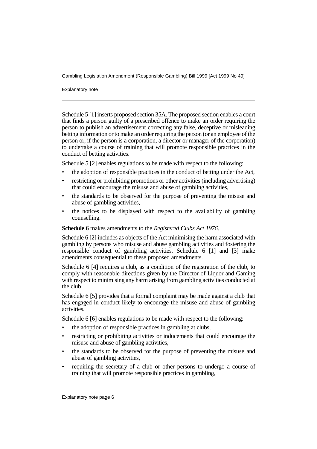Explanatory note

Schedule 5 [1] inserts proposed section 35A. The proposed section enables a court that finds a person guilty of a prescribed offence to make an order requiring the person to publish an advertisement correcting any false, deceptive or misleading betting information or to make an order requiring the person (or an employee of the person or, if the person is a corporation, a director or manager of the corporation) to undertake a course of training that will promote responsible practices in the conduct of betting activities.

Schedule 5 [2] enables regulations to be made with respect to the following:

- the adoption of responsible practices in the conduct of betting under the Act,
- restricting or prohibiting promotions or other activities (including advertising) that could encourage the misuse and abuse of gambling activities,
- the standards to be observed for the purpose of preventing the misuse and abuse of gambling activities,
- the notices to be displayed with respect to the availability of gambling counselling.

#### **Schedule 6** makes amendments to the *Registered Clubs Act 1976*.

Schedule 6 [2] includes as objects of the Act minimising the harm associated with gambling by persons who misuse and abuse gambling activities and fostering the responsible conduct of gambling activities. Schedule 6 [1] and [3] make amendments consequential to these proposed amendments.

Schedule 6 [4] requires a club, as a condition of the registration of the club, to comply with reasonable directions given by the Director of Liquor and Gaming with respect to minimising any harm arising from gambling activities conducted at the club.

Schedule 6 [5] provides that a formal complaint may be made against a club that has engaged in conduct likely to encourage the misuse and abuse of gambling activities.

Schedule 6 [6] enables regulations to be made with respect to the following:

- the adoption of responsible practices in gambling at clubs,
- restricting or prohibiting activities or inducements that could encourage the misuse and abuse of gambling activities,
- the standards to be observed for the purpose of preventing the misuse and abuse of gambling activities,
- requiring the secretary of a club or other persons to undergo a course of training that will promote responsible practices in gambling,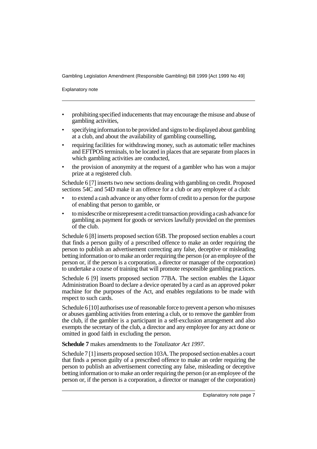Explanatory note

- prohibiting specified inducements that may encourage the misuse and abuse of gambling activities,
- specifying information to be provided and signs to be displayed about gambling at a club, and about the availability of gambling counselling,
- requiring facilities for withdrawing money, such as automatic teller machines and EFTPOS terminals, to be located in places that are separate from places in which gambling activities are conducted,
- the provision of anonymity at the request of a gambler who has won a major prize at a registered club.

Schedule 6 [7] inserts two new sections dealing with gambling on credit. Proposed sections 54C and 54D make it an offence for a club or any employee of a club:

- to extend a cash advance or any other form of credit to a person for the purpose of enabling that person to gamble, or
- to misdescribe or misrepresent a credit transaction providing a cash advance for gambling as payment for goods or services lawfully provided on the premises of the club.

Schedule 6 [8] inserts proposed section 65B. The proposed section enables a court that finds a person guilty of a prescribed offence to make an order requiring the person to publish an advertisement correcting any false, deceptive or misleading betting information or to make an order requiring the person (or an employee of the person or, if the person is a corporation, a director or manager of the corporation) to undertake a course of training that will promote responsible gambling practices.

Schedule 6 [9] inserts proposed section 77BA. The section enables the Liquor Administration Board to declare a device operated by a card as an approved poker machine for the purposes of the Act, and enables regulations to be made with respect to such cards.

Schedule 6 [10] authorises use of reasonable force to prevent a person who misuses or abuses gambling activities from entering a club, or to remove the gambler from the club, if the gambler is a participant in a self-exclusion arrangement and also exempts the secretary of the club, a director and any employee for any act done or omitted in good faith in excluding the person.

#### **Schedule 7** makes amendments to the *Totalizator Act 1997*.

Schedule 7 [1] inserts proposed section 103A. The proposed section enables a court that finds a person guilty of a prescribed offence to make an order requiring the person to publish an advertisement correcting any false, misleading or deceptive betting information or to make an order requiring the person (or an employee of the person or, if the person is a corporation, a director or manager of the corporation)